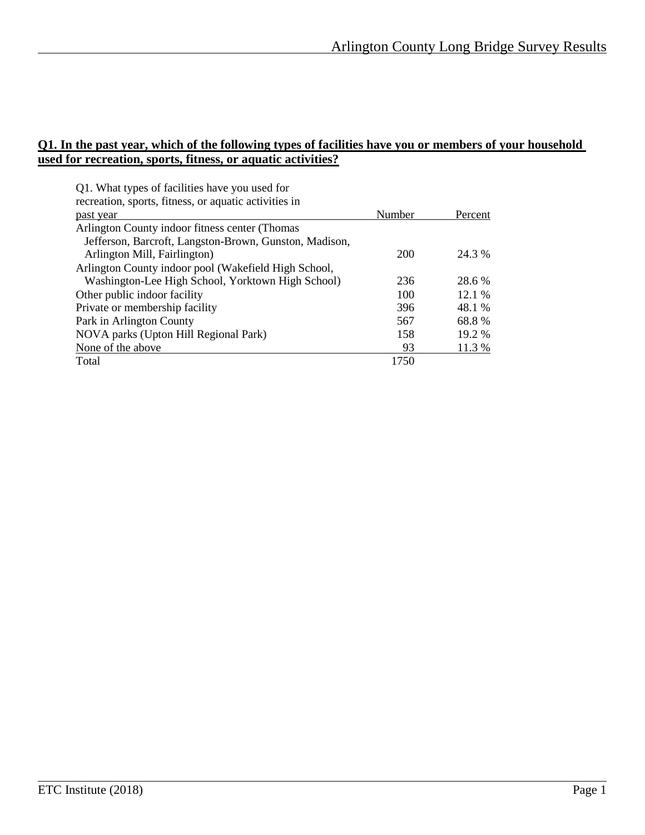#### **Q1. In the past year, which of the following types of facilities have you or members of your household used for recreation, sports, fitness, or aquatic activities?**

| Q1. What types of facilities have you used for         |        |         |
|--------------------------------------------------------|--------|---------|
| recreation, sports, fitness, or aquatic activities in  |        |         |
| past year                                              | Number | Percent |
| Arlington County indoor fitness center (Thomas         |        |         |
| Jefferson, Barcroft, Langston-Brown, Gunston, Madison, |        |         |
| Arlington Mill, Fairlington)                           | 200    | 24.3 %  |
| Arlington County indoor pool (Wakefield High School,   |        |         |
| Washington-Lee High School, Yorktown High School)      | 236    | 28.6 %  |
| Other public indoor facility                           | 100    | 12.1 %  |
| Private or membership facility                         | 396    | 48.1 %  |
| Park in Arlington County                               | 567    | 68.8%   |
| NOVA parks (Upton Hill Regional Park)                  | 158    | 19.2 %  |
| None of the above                                      | 93     | 11.3 %  |
| Total                                                  | 1750   |         |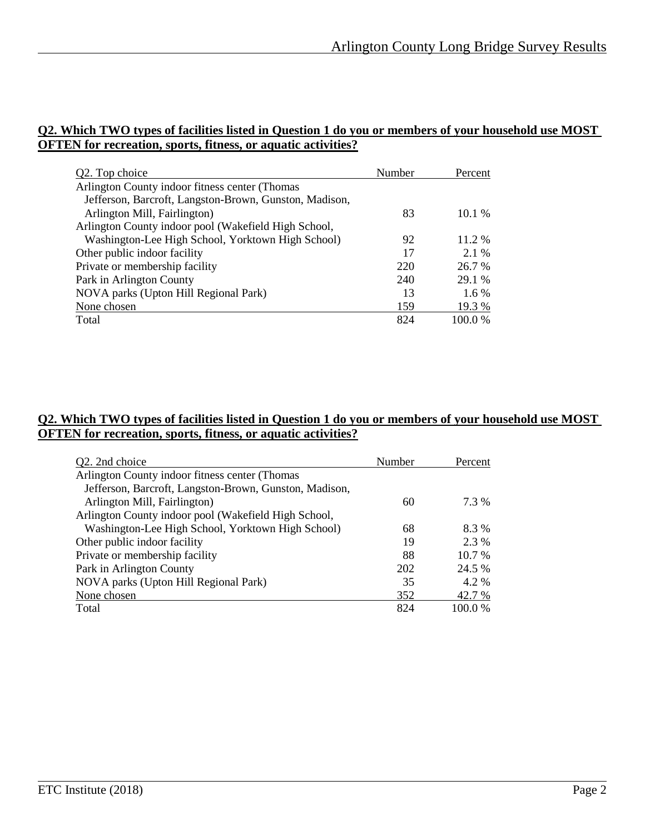#### **Q2. Which TWO types of facilities listed in Question 1 do you or members of your household use MOST OFTEN for recreation, sports, fitness, or aquatic activities?**

| Q2. Top choice                                         | Number | Percent |
|--------------------------------------------------------|--------|---------|
| Arlington County indoor fitness center (Thomas         |        |         |
| Jefferson, Barcroft, Langston-Brown, Gunston, Madison, |        |         |
| Arlington Mill, Fairlington)                           | 83     | 10.1%   |
| Arlington County indoor pool (Wakefield High School,   |        |         |
| Washington-Lee High School, Yorktown High School)      | 92     | 11.2 %  |
| Other public indoor facility                           | 17     | 2.1 %   |
| Private or membership facility                         | 220    | 26.7 %  |
| Park in Arlington County                               | 240    | 29.1 %  |
| NOVA parks (Upton Hill Regional Park)                  | 13     | $1.6\%$ |
| None chosen                                            | 159    | 19.3 %  |
| Total                                                  | 824    | 100.0%  |

## **Q2. Which TWO types of facilities listed in Question 1 do you or members of your household use MOST OFTEN for recreation, sports, fitness, or aquatic activities?**

| Q2. 2nd choice                                         | Number | Percent  |
|--------------------------------------------------------|--------|----------|
| Arlington County indoor fitness center (Thomas         |        |          |
| Jefferson, Barcroft, Langston-Brown, Gunston, Madison, |        |          |
| Arlington Mill, Fairlington)                           | 60     | 7.3 %    |
| Arlington County indoor pool (Wakefield High School,   |        |          |
| Washington-Lee High School, Yorktown High School)      | 68     | 8.3 %    |
| Other public indoor facility                           | 19     | 2.3 %    |
| Private or membership facility                         | 88     | $10.7\%$ |
| Park in Arlington County                               | 202    | 24.5 %   |
| NOVA parks (Upton Hill Regional Park)                  | 35     | 4.2 %    |
| None chosen                                            | 352    | 42.7 %   |
| Total                                                  | 824    | 100.0 %  |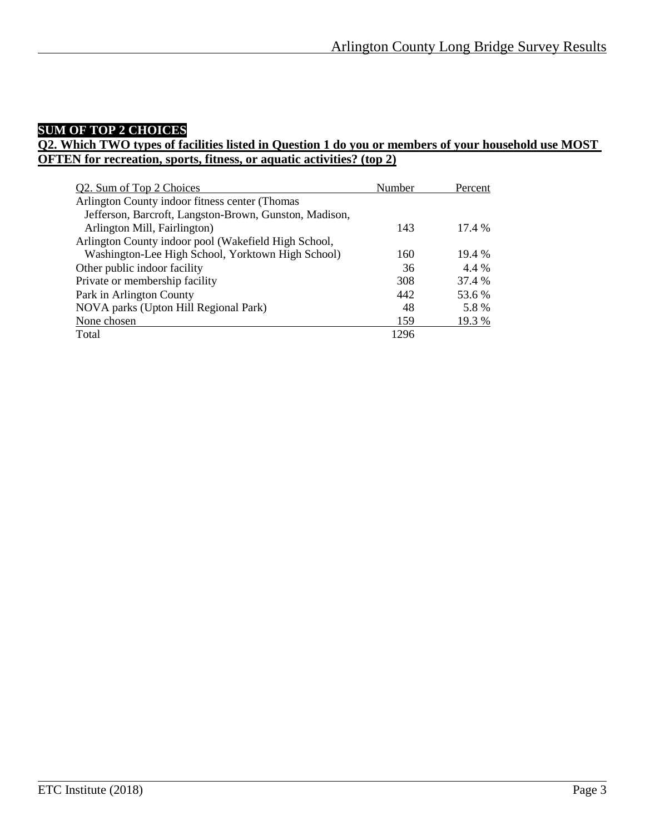## **SUM OF TOP 2 CHOICES**

#### **Q2. Which TWO types of facilities listed in Question 1 do you or members of your household use MOST OFTEN for recreation, sports, fitness, or aquatic activities? (top 2)**

| Q2. Sum of Top 2 Choices                               | Number | Percent |
|--------------------------------------------------------|--------|---------|
| Arlington County indoor fitness center (Thomas         |        |         |
| Jefferson, Barcroft, Langston-Brown, Gunston, Madison, |        |         |
| Arlington Mill, Fairlington)                           | 143    | 17.4 %  |
| Arlington County indoor pool (Wakefield High School,   |        |         |
| Washington-Lee High School, Yorktown High School)      | 160    | 19.4%   |
| Other public indoor facility                           | 36     | 4.4 %   |
| Private or membership facility                         | 308    | 37.4 %  |
| Park in Arlington County                               | 442    | 53.6 %  |
| NOVA parks (Upton Hill Regional Park)                  | 48     | 5.8%    |
| None chosen                                            | 159    | 19.3 %  |
| Total                                                  | 1296   |         |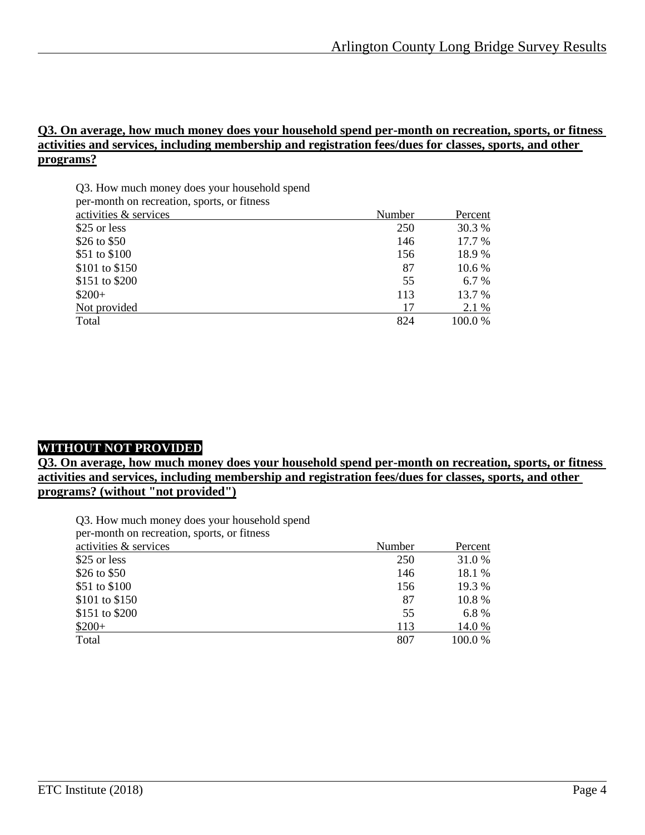#### **Q3. On average, how much money does your household spend per-month on recreation, sports, or fitness activities and services, including membership and registration fees/dues for classes, sports, and other programs?**

| Q3. How much money does your household spend |  |
|----------------------------------------------|--|
| ner-month on recreation sports or fitness    |  |

| Number | Percent |
|--------|---------|
| 250    | 30.3 %  |
| 146    | 17.7 %  |
| 156    | 18.9%   |
| 87     | 10.6 %  |
| 55     | 6.7 %   |
| 113    | 13.7 %  |
| 17     | 2.1 %   |
| 824    | 100.0 % |
|        |         |

## **WITHOUT NOT PROVIDED**

**Q3. On average, how much money does your household spend per-month on recreation, sports, or fitness activities and services, including membership and registration fees/dues for classes, sports, and other programs? (without "not provided")**

Q3. How much money does your household spend per-month on recreation, sports, or fitness

| per-month on recreation, sports, or miness |        |         |
|--------------------------------------------|--------|---------|
| activities & services                      | Number | Percent |
| \$25 or less                               | 250    | 31.0 %  |
| \$26 to \$50                               | 146    | 18.1 %  |
| \$51 to \$100                              | 156    | 19.3 %  |
| \$101 to \$150                             | 87     | 10.8 %  |
| \$151 to \$200                             | 55     | 6.8%    |
| $$200+$                                    | 113    | 14.0 %  |
| Total                                      | 807    | 100.0 % |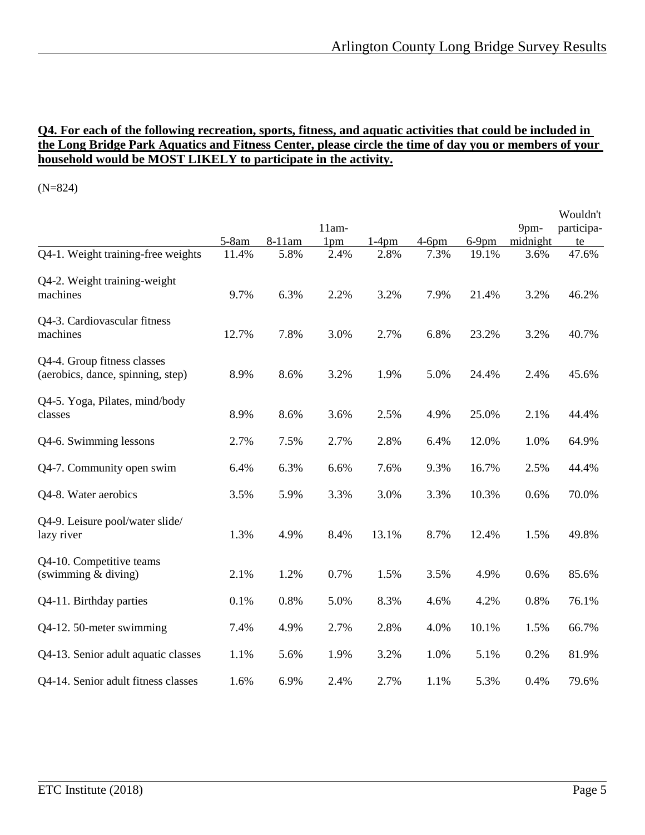#### **Q4. For each of the following recreation, sports, fitness, and aquatic activities that could be included in the Long Bridge Park Aquatics and Fitness Center, please circle the time of day you or members of your household would be MOST LIKELY to participate in the activity.**

(N=824)

|                                                                  |         |        |                            |          |          |          |                  | Wouldn't         |
|------------------------------------------------------------------|---------|--------|----------------------------|----------|----------|----------|------------------|------------------|
|                                                                  | $5-8am$ | 8-11am | $11am-$<br>1 <sub>pm</sub> | $1-4$ pm | $4-6$ pm | $6-9$ pm | 9pm-<br>midnight | participa-<br>te |
| Q4-1. Weight training-free weights                               | 11.4%   | 5.8%   | 2.4%                       | 2.8%     | 7.3%     | 19.1%    | 3.6%             | 47.6%            |
| Q4-2. Weight training-weight<br>machines                         | 9.7%    | 6.3%   | 2.2%                       | 3.2%     | 7.9%     | 21.4%    | 3.2%             | 46.2%            |
| Q4-3. Cardiovascular fitness<br>machines                         | 12.7%   | 7.8%   | 3.0%                       | 2.7%     | 6.8%     | 23.2%    | 3.2%             | 40.7%            |
| Q4-4. Group fitness classes<br>(aerobics, dance, spinning, step) | 8.9%    | 8.6%   | 3.2%                       | 1.9%     | 5.0%     | 24.4%    | 2.4%             | 45.6%            |
| Q4-5. Yoga, Pilates, mind/body<br>classes                        | 8.9%    | 8.6%   | 3.6%                       | 2.5%     | 4.9%     | 25.0%    | 2.1%             | 44.4%            |
| Q4-6. Swimming lessons                                           | 2.7%    | 7.5%   | 2.7%                       | 2.8%     | 6.4%     | 12.0%    | 1.0%             | 64.9%            |
| Q4-7. Community open swim                                        | 6.4%    | 6.3%   | 6.6%                       | 7.6%     | 9.3%     | 16.7%    | 2.5%             | 44.4%            |
| Q4-8. Water aerobics                                             | 3.5%    | 5.9%   | 3.3%                       | 3.0%     | 3.3%     | 10.3%    | 0.6%             | 70.0%            |
| Q4-9. Leisure pool/water slide/<br>lazy river                    | 1.3%    | 4.9%   | 8.4%                       | 13.1%    | 8.7%     | 12.4%    | 1.5%             | 49.8%            |
| Q4-10. Competitive teams<br>(swimming $&$ diving)                | 2.1%    | 1.2%   | 0.7%                       | 1.5%     | 3.5%     | 4.9%     | 0.6%             | 85.6%            |
| Q4-11. Birthday parties                                          | 0.1%    | 0.8%   | 5.0%                       | 8.3%     | 4.6%     | 4.2%     | 0.8%             | 76.1%            |
| Q4-12. 50-meter swimming                                         | 7.4%    | 4.9%   | 2.7%                       | 2.8%     | 4.0%     | 10.1%    | 1.5%             | 66.7%            |
| Q4-13. Senior adult aquatic classes                              | 1.1%    | 5.6%   | 1.9%                       | 3.2%     | 1.0%     | 5.1%     | 0.2%             | 81.9%            |
| Q4-14. Senior adult fitness classes                              | 1.6%    | 6.9%   | 2.4%                       | 2.7%     | 1.1%     | 5.3%     | 0.4%             | 79.6%            |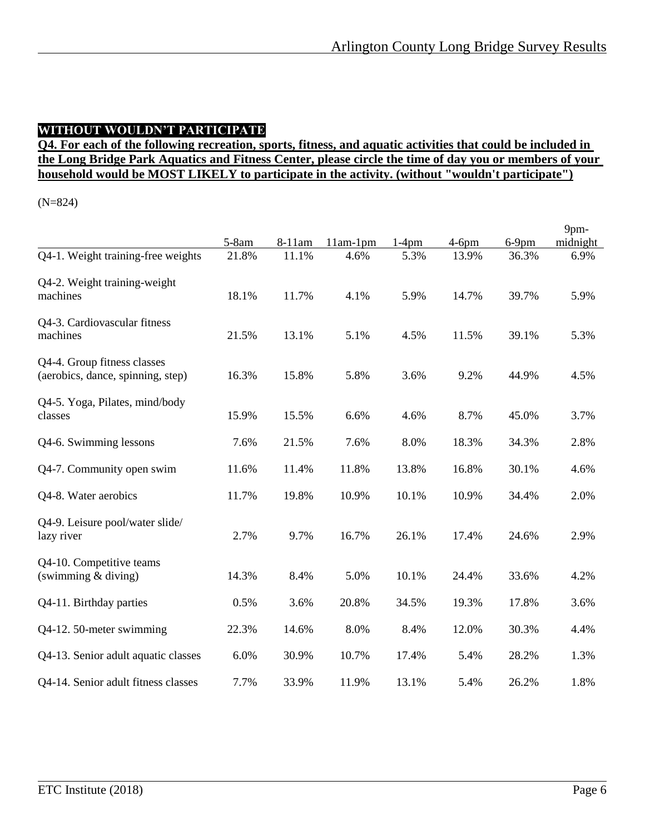## **WITHOUT WOULDN'T PARTICIPATE**

## **Q4. For each of the following recreation, sports, fitness, and aquatic activities that could be included in the Long Bridge Park Aquatics and Fitness Center, please circle the time of day you or members of your household would be MOST LIKELY to participate in the activity. (without "wouldn't participate")**

(N=824)

|                                                                  | $5-8am$ | 8-11am | $11am-1pm$ | $1-4$ pm | $4-6$ pm | $6-9$ pm | 9pm-<br>midnight |
|------------------------------------------------------------------|---------|--------|------------|----------|----------|----------|------------------|
| Q4-1. Weight training-free weights                               | 21.8%   | 11.1%  | 4.6%       | 5.3%     | 13.9%    | 36.3%    | 6.9%             |
| Q4-2. Weight training-weight<br>machines                         | 18.1%   | 11.7%  | 4.1%       | 5.9%     | 14.7%    | 39.7%    | 5.9%             |
| Q4-3. Cardiovascular fitness<br>machines                         | 21.5%   | 13.1%  | 5.1%       | 4.5%     | 11.5%    | 39.1%    | 5.3%             |
| Q4-4. Group fitness classes<br>(aerobics, dance, spinning, step) | 16.3%   | 15.8%  | 5.8%       | 3.6%     | 9.2%     | 44.9%    | 4.5%             |
| Q4-5. Yoga, Pilates, mind/body<br>classes                        | 15.9%   | 15.5%  | 6.6%       | 4.6%     | 8.7%     | 45.0%    | 3.7%             |
| Q4-6. Swimming lessons                                           | 7.6%    | 21.5%  | 7.6%       | 8.0%     | 18.3%    | 34.3%    | 2.8%             |
| Q4-7. Community open swim                                        | 11.6%   | 11.4%  | 11.8%      | 13.8%    | 16.8%    | 30.1%    | 4.6%             |
| Q4-8. Water aerobics                                             | 11.7%   | 19.8%  | 10.9%      | 10.1%    | 10.9%    | 34.4%    | 2.0%             |
| Q4-9. Leisure pool/water slide/<br>lazy river                    | 2.7%    | 9.7%   | 16.7%      | 26.1%    | 17.4%    | 24.6%    | 2.9%             |
| Q4-10. Competitive teams<br>(swimming $&$ diving)                | 14.3%   | 8.4%   | 5.0%       | 10.1%    | 24.4%    | 33.6%    | 4.2%             |
| Q4-11. Birthday parties                                          | 0.5%    | 3.6%   | 20.8%      | 34.5%    | 19.3%    | 17.8%    | 3.6%             |
| Q4-12. 50-meter swimming                                         | 22.3%   | 14.6%  | 8.0%       | 8.4%     | 12.0%    | 30.3%    | 4.4%             |
| Q4-13. Senior adult aquatic classes                              | 6.0%    | 30.9%  | 10.7%      | 17.4%    | 5.4%     | 28.2%    | 1.3%             |
| Q4-14. Senior adult fitness classes                              | 7.7%    | 33.9%  | 11.9%      | 13.1%    | 5.4%     | 26.2%    | 1.8%             |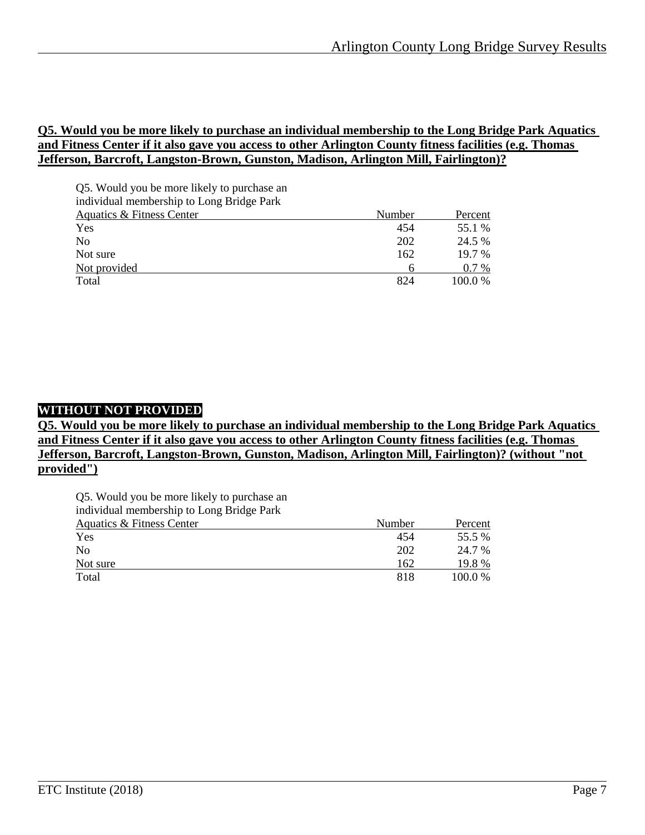#### **Q5. Would you be more likely to purchase an individual membership to the Long Bridge Park Aquatics and Fitness Center if it also gave you access to other Arlington County fitness facilities (e.g. Thomas Jefferson, Barcroft, Langston-Brown, Gunston, Madison, Arlington Mill, Fairlington)?**

| Q5. Would you be more likely to purchase an |        |          |
|---------------------------------------------|--------|----------|
| individual membership to Long Bridge Park   |        |          |
| Aquatics & Fitness Center                   | Number | Percent  |
| Yes                                         | 454    | 55.1 %   |
| N <sub>0</sub>                              | 202    | 24.5 %   |
| Not sure                                    | 162    | $19.7\%$ |
| Not provided                                | 6      | $0.7\%$  |
| Total                                       | 824    | 100.0%   |

## **WITHOUT NOT PROVIDED**

**Q5. Would you be more likely to purchase an individual membership to the Long Bridge Park Aquatics and Fitness Center if it also gave you access to other Arlington County fitness facilities (e.g. Thomas Jefferson, Barcroft, Langston-Brown, Gunston, Madison, Arlington Mill, Fairlington)? (without "not provided")**

Q5. Would you be more likely to purchase an

individual membership to Long Bridge Park

| <b>Aquatics &amp; Fitness Center</b> | Number | Percent |
|--------------------------------------|--------|---------|
| Yes                                  | 454    | 55.5 %  |
| N <sub>0</sub>                       | 202    | 24.7 %  |
| Not sure                             | 162    | 19.8 %  |
| Total                                | 818    | 100.0 % |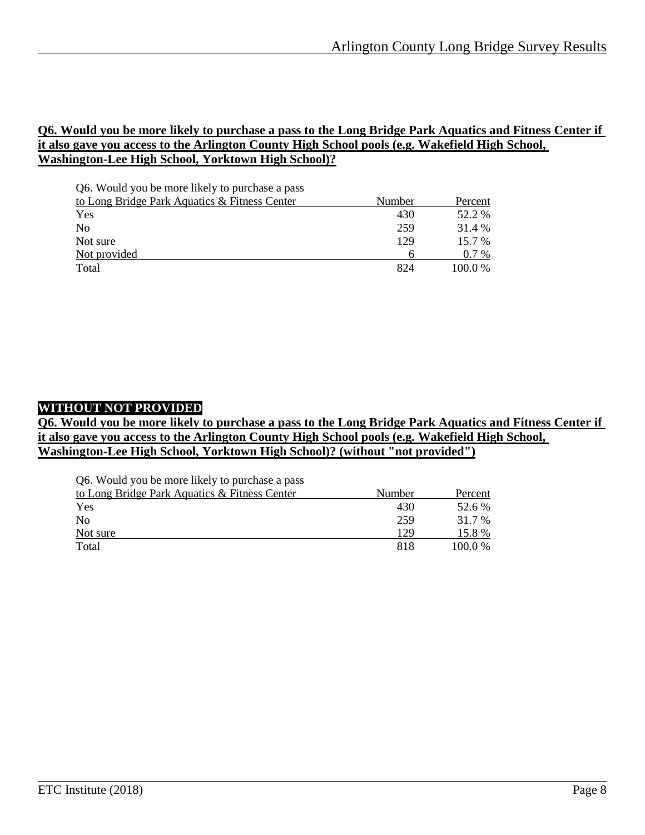#### **Q6. Would you be more likely to purchase a pass to the Long Bridge Park Aquatics and Fitness Center if it also gave you access to the Arlington County High School pools (e.g. Wakefield High School, Washington-Lee High School, Yorktown High School)?**

| Q6. Would you be more likely to purchase a pass |        |          |
|-------------------------------------------------|--------|----------|
| to Long Bridge Park Aquatics & Fitness Center   | Number | Percent  |
| Yes                                             | 430    | 52.2 %   |
| N <sub>0</sub>                                  | 259    | 31.4 %   |
| Not sure                                        | 129    | $15.7\%$ |
| Not provided                                    | h      | $0.7\%$  |
| Total                                           | 824    | 100.0 %  |

## **WITHOUT NOT PROVIDED**

#### **Q6. Would you be more likely to purchase a pass to the Long Bridge Park Aquatics and Fitness Center if it also gave you access to the Arlington County High School pools (e.g. Wakefield High School, Washington-Lee High School, Yorktown High School)? (without "not provided")**

| Q6. Would you be more likely to purchase a pass |        |         |
|-------------------------------------------------|--------|---------|
| to Long Bridge Park Aquatics & Fitness Center   | Number | Percent |
| Yes                                             | 430    | 52.6 %  |
| N <sub>0</sub>                                  | 259    | 31.7 %  |
| Not sure                                        | 129    | 15.8 %  |
| Total                                           | 818    | 100.0 % |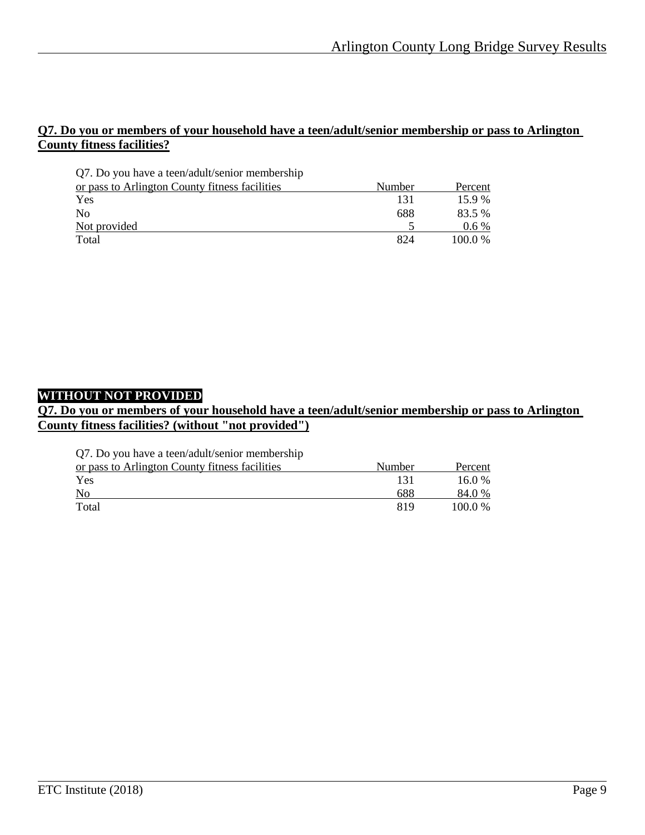#### **Q7. Do you or members of your household have a teen/adult/senior membership or pass to Arlington County fitness facilities?**

| Q7. Do you have a teen/adult/senior membership |        |           |
|------------------------------------------------|--------|-----------|
| or pass to Arlington County fitness facilities | Number | Percent   |
| <b>Yes</b>                                     | 131    | $15.9\%$  |
| N <sub>0</sub>                                 | 688    | 83.5 %    |
| Not provided                                   |        | $0.6\%$   |
| Total                                          | 824    | $100.0\%$ |

## **WITHOUT NOT PROVIDED**

#### **Q7. Do you or members of your household have a teen/adult/senior membership or pass to Arlington County fitness facilities? (without "not provided")**

Q7. Do you have a teen/adult/senior membership

| or pass to Arlington County fitness facilities | Number | Percent |
|------------------------------------------------|--------|---------|
| Yes                                            |        | 16.0 %  |
| N <sub>o</sub>                                 | 688    | 84.0 %  |
| Total                                          | 819    | 100.0 % |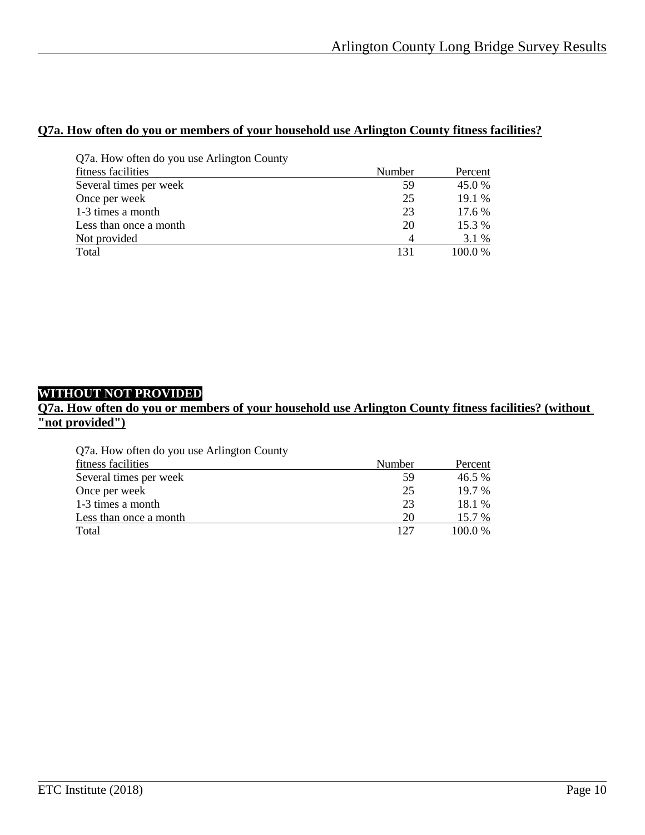## **Q7a. How often do you or members of your household use Arlington County fitness facilities?**

| Q7a. How often do you use Arlington County |        |         |
|--------------------------------------------|--------|---------|
| fitness facilities                         | Number | Percent |
| Several times per week                     | 59     | 45.0%   |
| Once per week                              | 25     | 19.1 %  |
| 1-3 times a month                          | 23     | 17.6 %  |
| Less than once a month                     | 20     | 15.3 %  |
| Not provided                               |        | 3.1 %   |
| Total                                      | 131    | 100.0%  |

## **WITHOUT NOT PROVIDED**

## **Q7a. How often do you or members of your household use Arlington County fitness facilities? (without "not provided")**

| Q7a. How often do you use Arlington County |        |           |
|--------------------------------------------|--------|-----------|
| fitness facilities                         | Number | Percent   |
| Several times per week                     | 59     | 46.5 %    |
| Once per week                              | 25     | $19.7\%$  |
| 1-3 times a month                          | 23     | 18.1 %    |
| Less than once a month                     | 20     | 15.7 %    |
| Total                                      | 127    | $100.0\%$ |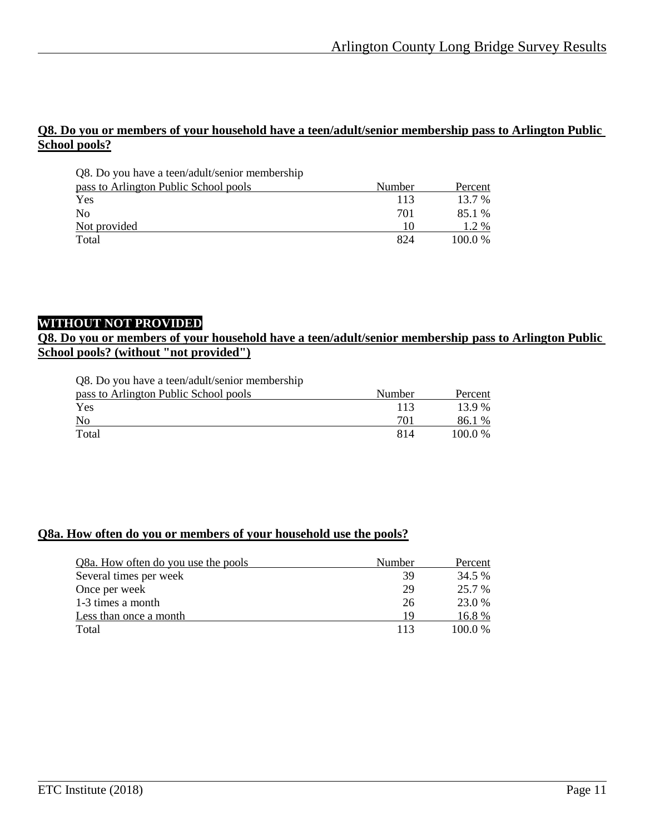#### **Q8. Do you or members of your household have a teen/adult/senior membership pass to Arlington Public School pools?**

| Q8. Do you have a teen/adult/senior membership |        |         |
|------------------------------------------------|--------|---------|
| pass to Arlington Public School pools          | Number | Percent |
| Yes                                            | 113    | 13.7 %  |
| N <sub>0</sub>                                 | 701    | 85.1 %  |
| Not provided                                   | 10     | 1.2 %   |
| Total                                          | 824    | 100.0 % |

#### **WITHOUT NOT PROVIDED**

#### **Q8. Do you or members of your household have a teen/adult/senior membership pass to Arlington Public School pools? (without "not provided")**

|  |  |  | Q8. Do you have a teen/adult/senior membership |  |
|--|--|--|------------------------------------------------|--|
|--|--|--|------------------------------------------------|--|

| pass to Arlington Public School pools | Number | Percent |
|---------------------------------------|--------|---------|
| Yes                                   |        | 13.9 %  |
| N <sub>o</sub>                        | 70     | 86.1 %  |
| Total                                 | 814    | 100.0 % |

#### **Q8a. How often do you or members of your household use the pools?**

| Q8a. How often do you use the pools | Number | Percent   |
|-------------------------------------|--------|-----------|
| Several times per week              | 39     | 34.5 %    |
| Once per week                       | 29     | 25.7 %    |
| 1-3 times a month                   | 26     | 23.0 %    |
| Less than once a month              | 19     | 16.8 %    |
| Total                               | 113    | $100.0\%$ |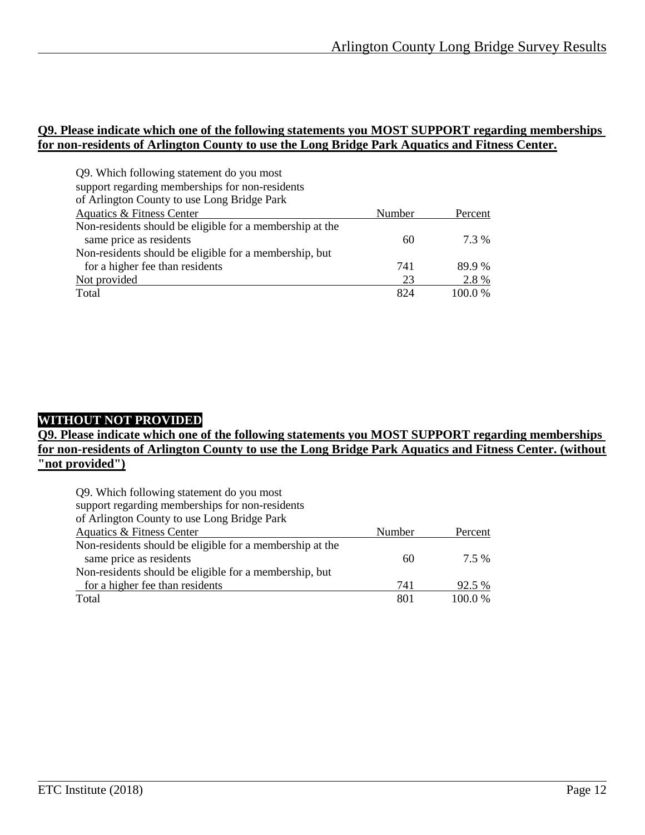#### **Q9. Please indicate which one of the following statements you MOST SUPPORT regarding memberships for non-residents of Arlington County to use the Long Bridge Park Aquatics and Fitness Center.**

| Q9. Which following statement do you most                |        |         |
|----------------------------------------------------------|--------|---------|
| support regarding memberships for non-residents          |        |         |
| of Arlington County to use Long Bridge Park              |        |         |
| Aquatics & Fitness Center                                | Number | Percent |
| Non-residents should be eligible for a membership at the |        |         |
| same price as residents                                  | 60     | 7.3 %   |
| Non-residents should be eligible for a membership, but   |        |         |
| for a higher fee than residents                          | 741    | 89.9%   |
| Not provided                                             | 23     | 2.8%    |
| Total                                                    | 824    | 100.0%  |

## **WITHOUT NOT PROVIDED**

#### **Q9. Please indicate which one of the following statements you MOST SUPPORT regarding memberships for non-residents of Arlington County to use the Long Bridge Park Aquatics and Fitness Center. (without "not provided")**

| Q9. Which following statement do you most                |        |         |
|----------------------------------------------------------|--------|---------|
| support regarding memberships for non-residents          |        |         |
| of Arlington County to use Long Bridge Park              |        |         |
| Aquatics & Fitness Center                                | Number | Percent |
| Non-residents should be eligible for a membership at the |        |         |
| same price as residents                                  | 60     | 7.5 %   |
| Non-residents should be eligible for a membership, but   |        |         |
| for a higher fee than residents                          | 741    | 92.5 %  |
| Total                                                    | 801    | 100.0%  |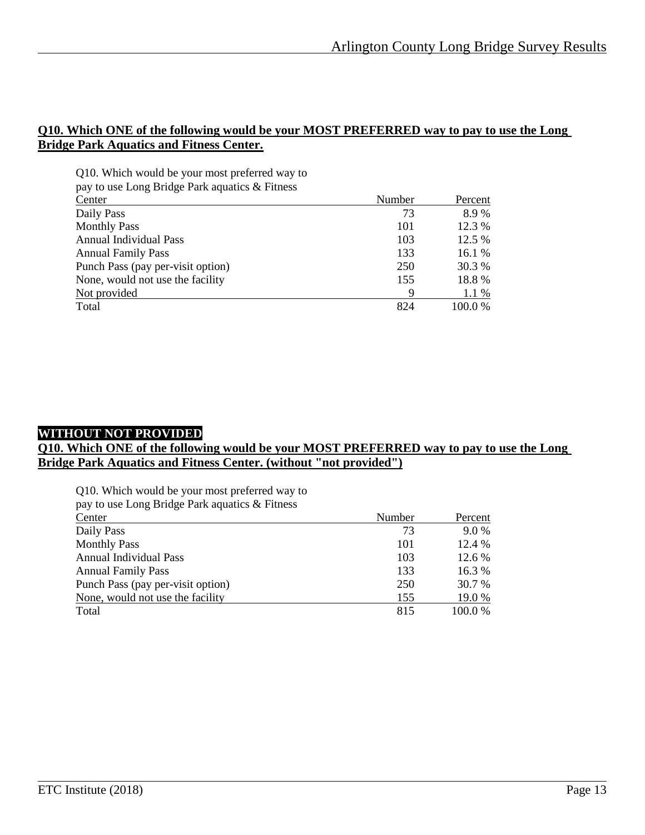#### **Q10. Which ONE of the following would be your MOST PREFERRED way to pay to use the Long Bridge Park Aquatics and Fitness Center.**

| Q10. Which would be your most preferred way to |        |         |
|------------------------------------------------|--------|---------|
| pay to use Long Bridge Park aquatics & Fitness |        |         |
| Center                                         | Number | Percent |

| $\sim$ uct                        | 1 JULLEUVI | T OTOOTIC |
|-----------------------------------|------------|-----------|
| Daily Pass                        | 73         | 8.9%      |
| <b>Monthly Pass</b>               | 101        | 12.3 %    |
| <b>Annual Individual Pass</b>     | 103        | 12.5 %    |
| <b>Annual Family Pass</b>         | 133        | 16.1 %    |
| Punch Pass (pay per-visit option) | 250        | 30.3 %    |
| None, would not use the facility  | 155        | 18.8%     |
| Not provided                      |            | 1.1 %     |
| Total                             | 824        | 100.0 %   |
|                                   |            |           |

## **WITHOUT NOT PROVIDED**

#### **Q10. Which ONE of the following would be your MOST PREFERRED way to pay to use the Long Bridge Park Aquatics and Fitness Center. (without "not provided")**

| Q10. Which would be your most preferred way to<br>pay to use Long Bridge Park aquatics & Fitness |        |         |
|--------------------------------------------------------------------------------------------------|--------|---------|
| Center                                                                                           | Number | Percent |
| Daily Pass                                                                                       | 73     | 9.0 %   |
| <b>Monthly Pass</b>                                                                              | 101    | 12.4 %  |
| <b>Annual Individual Pass</b>                                                                    | 103    | 12.6 %  |
| <b>Annual Family Pass</b>                                                                        | 133    | 16.3%   |
| Punch Pass (pay per-visit option)                                                                | 250    | 30.7 %  |
| None, would not use the facility                                                                 | 155    | 19.0%   |
| Total                                                                                            | 815    | 100.0%  |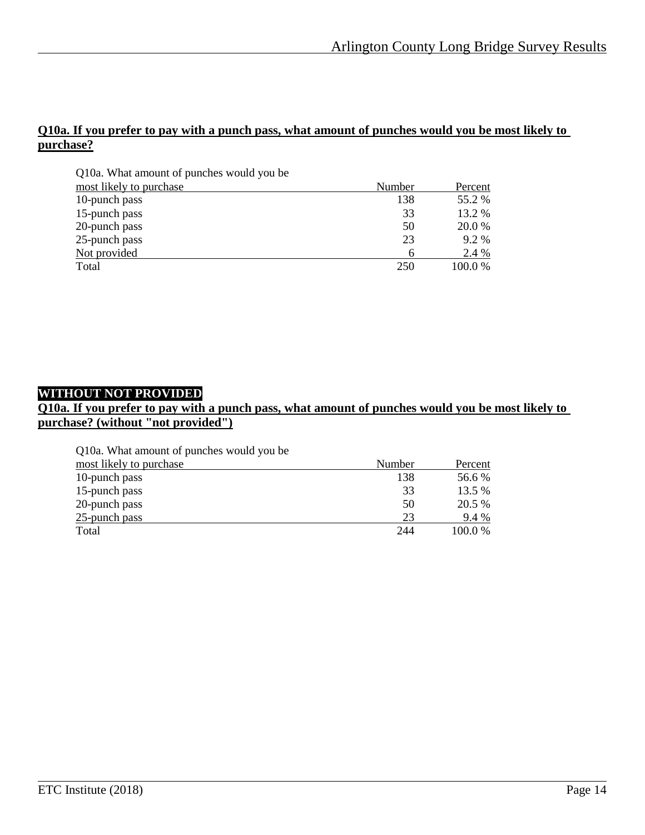#### **Q10a. If you prefer to pay with a punch pass, what amount of punches would you be most likely to purchase?**

| Q10a. What amount of punches would you be |        |         |
|-------------------------------------------|--------|---------|
| most likely to purchase                   | Number | Percent |
| 10-punch pass                             | 138    | 55.2 %  |
| 15-punch pass                             | 33     | 13.2 %  |
| 20-punch pass                             | 50     | 20.0 %  |
| 25-punch pass                             | 23     | $9.2\%$ |
| Not provided                              | 6      | 2.4 %   |
| Total                                     | 250    | 100.0%  |

## **WITHOUT NOT PROVIDED**

## **Q10a. If you prefer to pay with a punch pass, what amount of punches would you be most likely to purchase? (without "not provided")**

Q10a. What amount of punches would you be

| most likely to purchase | Number | Percent |
|-------------------------|--------|---------|
| 10-punch pass           | 138    | 56.6 %  |
| 15-punch pass           | 33     | 13.5 %  |
| 20-punch pass           | 50     | 20.5 %  |
| 25-punch pass           | 23     | 9.4 %   |
| Total                   | 244    | 100.0%  |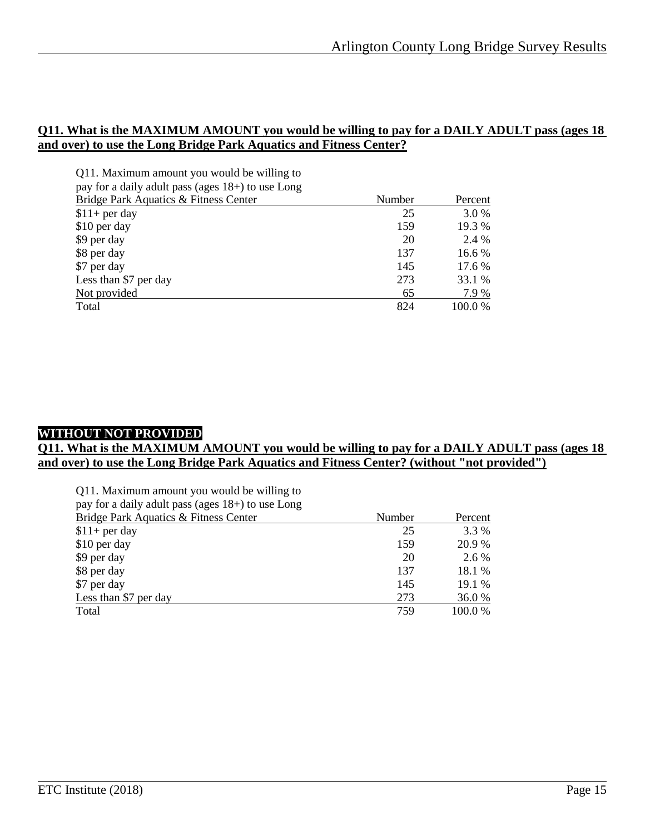#### **Q11. What is the MAXIMUM AMOUNT you would be willing to pay for a DAILY ADULT pass (ages 18 and over) to use the Long Bridge Park Aquatics and Fitness Center?**

| Q11. Maximum amount you would be willing to       |        |         |
|---------------------------------------------------|--------|---------|
| pay for a daily adult pass (ages 18+) to use Long |        |         |
| Bridge Park Aquatics & Fitness Center             | Number | Percent |
| $$11+$ per day                                    | 25     | 3.0 %   |
| \$10 per day                                      | 159    | 19.3 %  |
| \$9 per day                                       | 20     | 2.4 %   |
| \$8 per day                                       | 137    | 16.6 %  |
| \$7 per day                                       | 145    | 17.6 %  |
| Less than \$7 per day                             | 273    | 33.1 %  |
| Not provided                                      | 65     | 7.9 %   |
| Total                                             | 824    | 100.0 % |

## **WITHOUT NOT PROVIDED**

#### **Q11. What is the MAXIMUM AMOUNT you would be willing to pay for a DAILY ADULT pass (ages 18 and over) to use the Long Bridge Park Aquatics and Fitness Center? (without "not provided")**

| Q11. Maximum amount you would be willing to<br>pay for a daily adult pass (ages 18+) to use Long |        |         |
|--------------------------------------------------------------------------------------------------|--------|---------|
| <b>Bridge Park Aquatics &amp; Fitness Center</b>                                                 | Number | Percent |
| $$11+$ per day                                                                                   | 25     | 3.3 %   |
| \$10 per day                                                                                     | 159    | 20.9 %  |
| \$9 per day                                                                                      | 20     | $2.6\%$ |
| \$8 per day                                                                                      | 137    | 18.1 %  |
| \$7 per day                                                                                      | 145    | 19.1%   |
| Less than \$7 per day                                                                            | 273    | 36.0%   |
| Total                                                                                            | 759    | 100.0%  |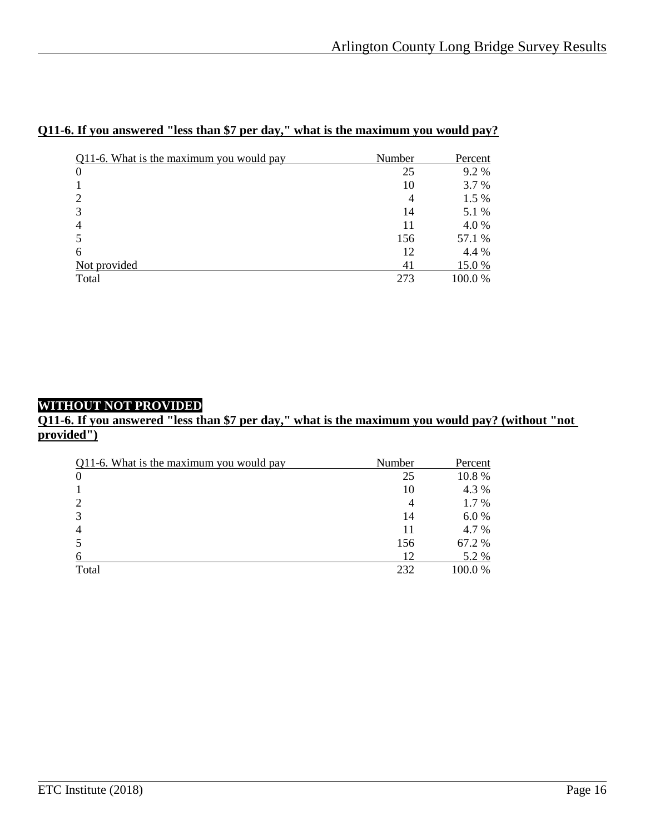| Q11-6. What is the maximum you would pay | Number         | Percent |
|------------------------------------------|----------------|---------|
| 0                                        | 25             | 9.2%    |
|                                          | 10             | 3.7 %   |
| 2                                        | $\overline{4}$ | 1.5 %   |
| 3                                        | 14             | 5.1 %   |
| 4                                        | 11             | 4.0%    |
| 5                                        | 156            | 57.1 %  |
| 6                                        | 12             | 4.4 %   |
| Not provided                             | 41             | 15.0 %  |
| Total                                    | 273            | 100.0%  |

#### **Q11-6. If you answered "less than \$7 per day," what is the maximum you would pay?**

## **WITHOUT NOT PROVIDED**

#### **Q11-6. If you answered "less than \$7 per day," what is the maximum you would pay? (without "not provided")**

| Q11-6. What is the maximum you would pay | Number | Percent |
|------------------------------------------|--------|---------|
| $\overline{0}$                           | 25     | 10.8%   |
|                                          | 10     | 4.3 %   |
| 2                                        | 4      | 1.7 %   |
| 3                                        | 14     | 6.0%    |
| $\overline{4}$                           | 11     | 4.7 %   |
|                                          | 156    | 67.2 %  |
| 6                                        | 12     | 5.2 %   |
| Total                                    | 232    | 100.0 % |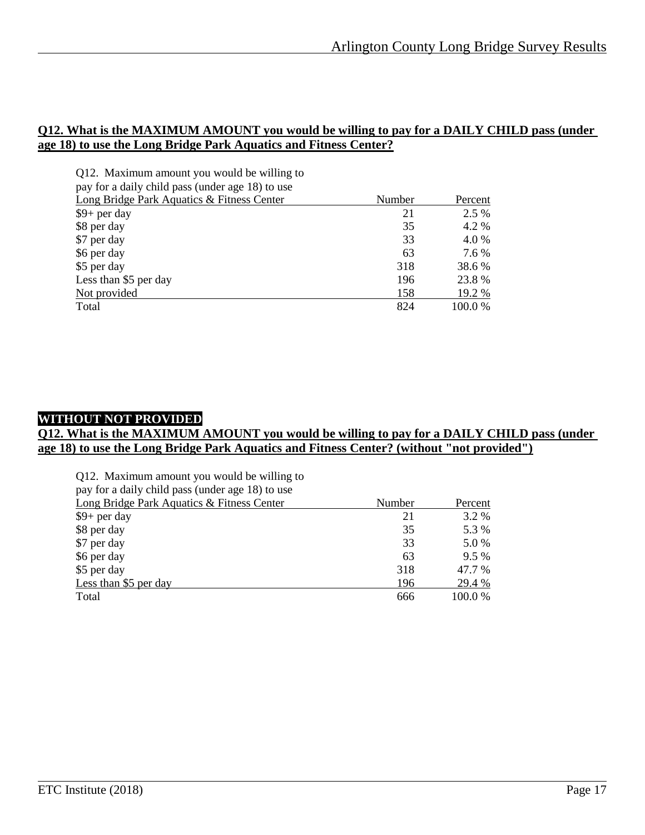#### **Q12. What is the MAXIMUM AMOUNT you would be willing to pay for a DAILY CHILD pass (under age 18) to use the Long Bridge Park Aquatics and Fitness Center?**

| Q12. Maximum amount you would be willing to      |        |         |
|--------------------------------------------------|--------|---------|
| pay for a daily child pass (under age 18) to use |        |         |
| Long Bridge Park Aquatics & Fitness Center       | Number | Percent |
| $$9+$ per day                                    | 21     | 2.5 %   |
| \$8 per day                                      | 35     | 4.2 %   |
| \$7 per day                                      | 33     | 4.0 %   |
| \$6 per day                                      | 63     | 7.6 %   |
| \$5 per day                                      | 318    | 38.6 %  |
| Less than \$5 per day                            | 196    | 23.8%   |
| Not provided                                     | 158    | 19.2 %  |
| Total                                            | 824    | 100.0 % |

## **WITHOUT NOT PROVIDED**

#### **Q12. What is the MAXIMUM AMOUNT you would be willing to pay for a DAILY CHILD pass (under age 18) to use the Long Bridge Park Aquatics and Fitness Center? (without "not provided")**

|  |  | Q12. Maximum amount you would be willing to |  |  |
|--|--|---------------------------------------------|--|--|
|--|--|---------------------------------------------|--|--|

|  |  |  |  |  | pay for a daily child pass (under age 18) to use |  |  |  |  |
|--|--|--|--|--|--------------------------------------------------|--|--|--|--|
|--|--|--|--|--|--------------------------------------------------|--|--|--|--|

| Long Bridge Park Aquatics & Fitness Center | Number | Percent |
|--------------------------------------------|--------|---------|
| $$9+$ per day                              | 21     | 3.2 %   |
| \$8 per day                                | 35     | 5.3 %   |
| \$7 per day                                | 33     | 5.0 %   |
| \$6 per day                                | 63     | $9.5\%$ |
| \$5 per day                                | 318    | 47.7 %  |
| Less than \$5 per day                      | 196    | 29.4 %  |
| Total                                      | 666    | 100.0 % |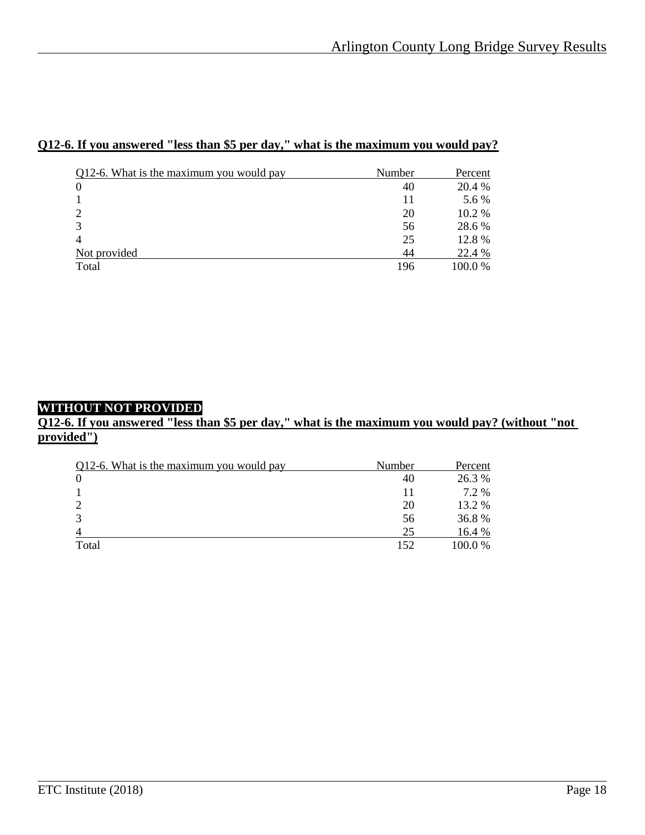|--|

| Q12-6. What is the maximum you would pay | Number | Percent |
|------------------------------------------|--------|---------|
| 0                                        | 40     | 20.4 %  |
|                                          | 11     | 5.6 %   |
| ↑                                        | 20     | 10.2 %  |
|                                          | 56     | 28.6 %  |
|                                          | 25     | 12.8%   |
| Not provided                             | 44     | 22.4 %  |
| Total                                    | 196    | 100.0%  |

# **WITHOUT NOT PROVIDED**

#### **Q12-6. If you answered "less than \$5 per day," what is the maximum you would pay? (without "not provided")**

| Q12-6. What is the maximum you would pay | Number | Percent |
|------------------------------------------|--------|---------|
|                                          | 40     | 26.3 %  |
|                                          |        | 7.2 %   |
|                                          | 20     | 13.2 %  |
| $\mathbf{\Omega}$                        | 56     | 36.8%   |
|                                          | 25     | 16.4 %  |
| Total                                    | 152    | 100.0%  |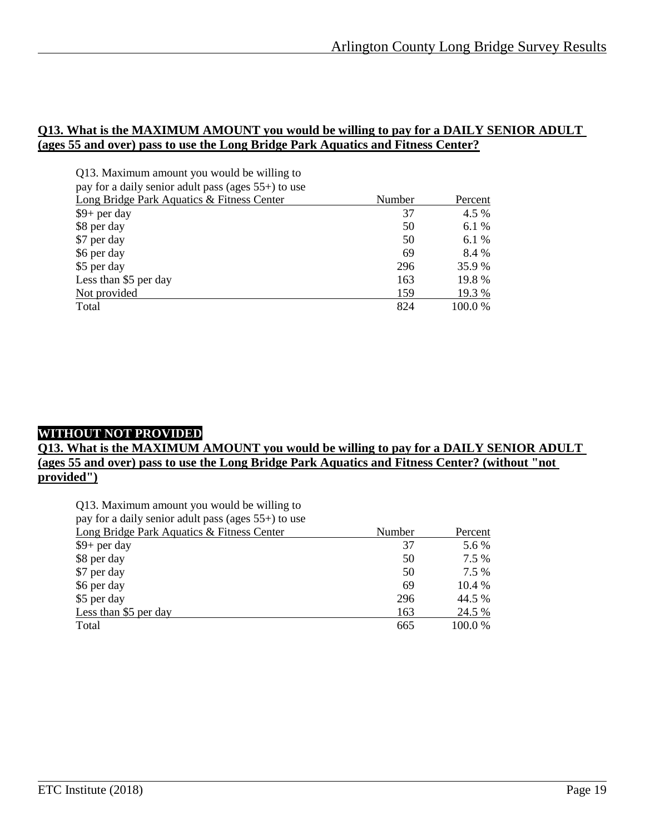#### **Q13. What is the MAXIMUM AMOUNT you would be willing to pay for a DAILY SENIOR ADULT (ages 55 and over) pass to use the Long Bridge Park Aquatics and Fitness Center?**

| Q13. Maximum amount you would be willing to         |        |         |
|-----------------------------------------------------|--------|---------|
| pay for a daily senior adult pass (ages 55+) to use |        |         |
| Long Bridge Park Aquatics & Fitness Center          | Number | Percent |
| $$9+$ per day                                       | 37     | 4.5 %   |
| \$8 per day                                         | 50     | 6.1 %   |
| \$7 per day                                         | 50     | 6.1 %   |
| \$6 per day                                         | 69     | 8.4 %   |
| \$5 per day                                         | 296    | 35.9 %  |
| Less than \$5 per day                               | 163    | 19.8%   |
| Not provided                                        | 159    | 19.3 %  |
| Total                                               | 824    | 100.0 % |

#### **WITHOUT NOT PROVIDED**

#### **Q13. What is the MAXIMUM AMOUNT you would be willing to pay for a DAILY SENIOR ADULT (ages 55 and over) pass to use the Long Bridge Park Aquatics and Fitness Center? (without "not provided")**

| Q13. Maximum amount you would be willing to         |        |         |
|-----------------------------------------------------|--------|---------|
| pay for a daily senior adult pass (ages 55+) to use |        |         |
| Long Bridge Park Aquatics & Fitness Center          | Number | Percent |
| $$9+$ per day                                       | 37     | 5.6 %   |
| \$8 per day                                         | 50     | 7.5 %   |
| \$7 per day                                         | 50     | 7.5 %   |
| \$6 per day                                         | 69     | 10.4 %  |
| \$5 per day                                         | 296    | 44.5 %  |
| Less than \$5 per day                               | 163    | 24.5 %  |
| Total                                               | 665    | 100.0%  |
|                                                     |        |         |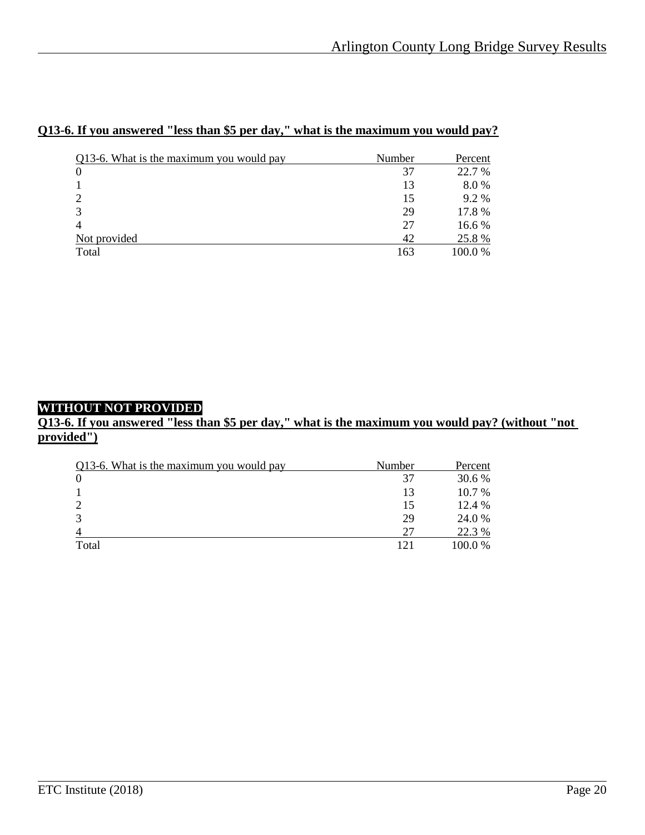| Q13-6. What is the maximum you would pay | Number | Percent |
|------------------------------------------|--------|---------|
|                                          | 37     | 22.7 %  |
|                                          | 13     | 8.0%    |
| C                                        | 15     | 9.2%    |
| 3                                        | 29     | 17.8 %  |
| 4                                        | 27     | 16.6 %  |
| Not provided                             | 42     | 25.8 %  |
| Total                                    | 163    | 100.0 % |

## **Q13-6. If you answered "less than \$5 per day," what is the maximum you would pay?**

## **WITHOUT NOT PROVIDED**

#### **Q13-6. If you answered "less than \$5 per day," what is the maximum you would pay? (without "not provided")**

| Q13-6. What is the maximum you would pay | Number | Percent |
|------------------------------------------|--------|---------|
| $\Omega$                                 | 37     | 30.6 %  |
|                                          | 13     | 10.7 %  |
|                                          | 15     | 12.4 %  |
|                                          | 29     | 24.0 %  |
|                                          | 27     | 22.3 %  |
| Total                                    | 121    | 100.0 % |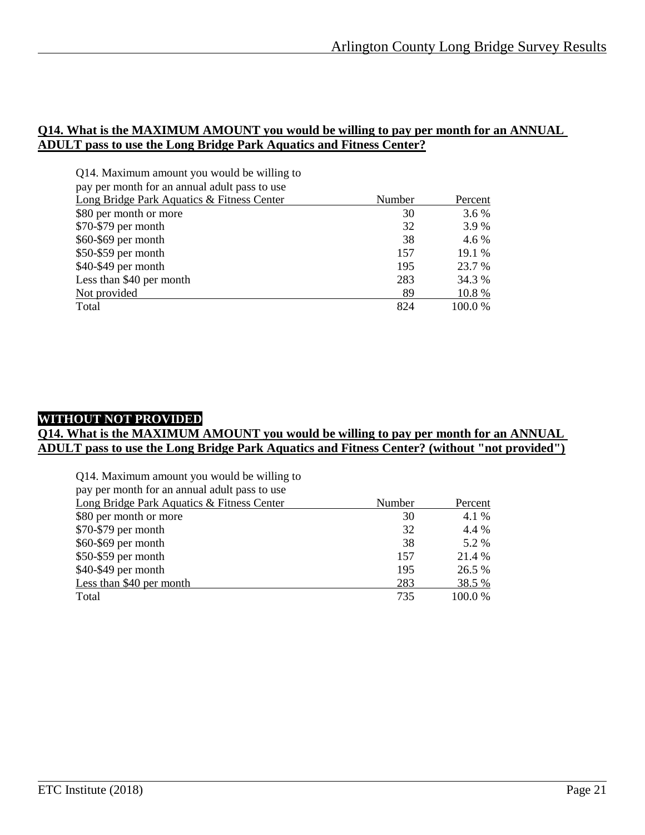#### **Q14. What is the MAXIMUM AMOUNT you would be willing to pay per month for an ANNUAL ADULT pass to use the Long Bridge Park Aquatics and Fitness Center?**

| Q14. Maximum amount you would be willing to   |        |         |
|-----------------------------------------------|--------|---------|
| pay per month for an annual adult pass to use |        |         |
| Long Bridge Park Aquatics & Fitness Center    | Number | Percent |
| \$80 per month or more                        | 30     | 3.6 %   |
| $$70-$79$ per month                           | 32     | 3.9%    |
| \$60-\$69 per month                           | 38     | 4.6 %   |
| $$50-$59$ per month                           | 157    | 19.1 %  |
| \$40-\$49 per month                           | 195    | 23.7 %  |
| Less than \$40 per month                      | 283    | 34.3 %  |
| Not provided                                  | 89     | 10.8%   |
| Total                                         | 824    | 100.0 % |

### **WITHOUT NOT PROVIDED**

#### **Q14. What is the MAXIMUM AMOUNT you would be willing to pay per month for an ANNUAL ADULT pass to use the Long Bridge Park Aquatics and Fitness Center? (without "not provided")**

| Q14. Maximum amount you would be willing to   |        |         |
|-----------------------------------------------|--------|---------|
| pay per month for an annual adult pass to use |        |         |
| Long Bridge Park Aquatics & Fitness Center    | Number | Percent |
| \$80 per month or more                        | 30     | 4.1 %   |
| \$70-\$79 per month                           | 32     | 4.4 %   |
| \$60-\$69 per month                           | 38     | 5.2 %   |
| \$50-\$59 per month                           | 157    | 21.4 %  |
| \$40-\$49 per month                           | 195    | 26.5 %  |
| Less than \$40 per month                      | 283    | 38.5 %  |
| Total                                         | 735    | 100.0 % |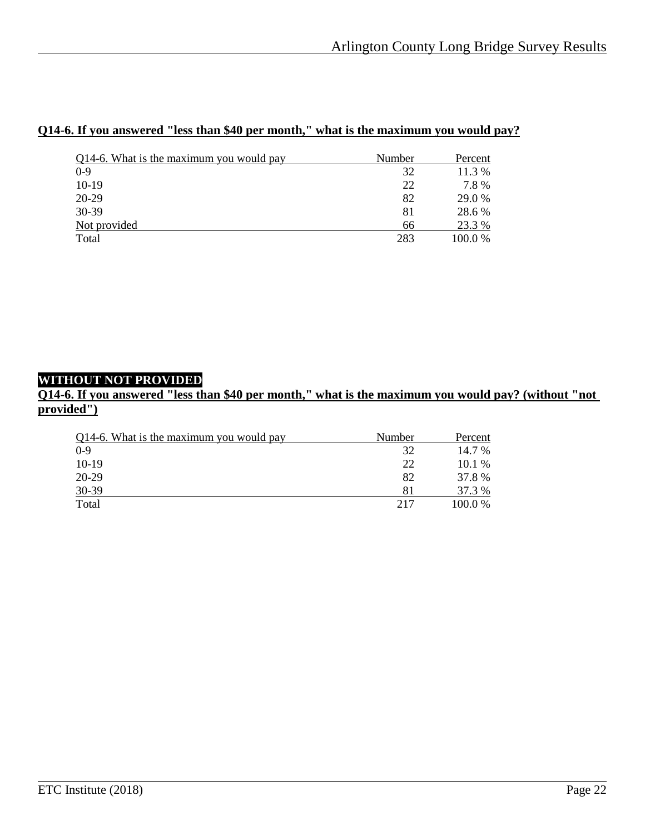## **Q14-6. If you answered "less than \$40 per month," what is the maximum you would pay?**

| Q14-6. What is the maximum you would pay | Number | Percent |
|------------------------------------------|--------|---------|
| $0-9$                                    | 32     | 11.3 %  |
| $10-19$                                  | 22     | 7.8%    |
| 20-29                                    | 82     | 29.0 %  |
| 30-39                                    | 81     | 28.6 %  |
| Not provided                             | 66     | 23.3 %  |
| Total                                    | 283    | 100.0 % |

## **WITHOUT NOT PROVIDED**

**Q14-6. If you answered "less than \$40 per month," what is the maximum you would pay? (without "not provided")**

| Q14-6. What is the maximum you would pay | Number | Percent   |
|------------------------------------------|--------|-----------|
| $0 - 9$                                  | 32     | 14.7 %    |
| $10-19$                                  | 22     | $10.1\%$  |
| 20-29                                    | 82     | 37.8 %    |
| 30-39                                    | 81     | 37.3 %    |
| Total                                    | 217    | $100.0\%$ |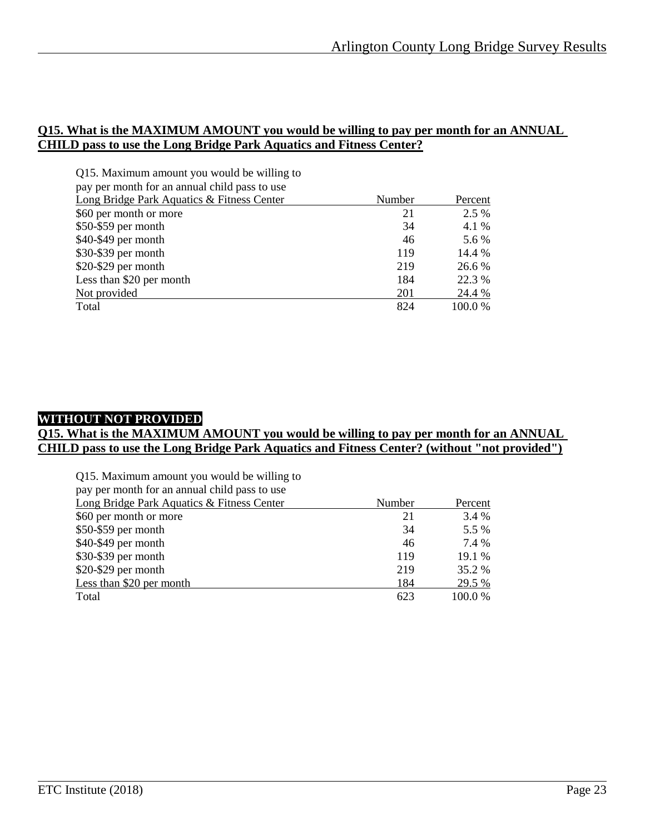#### **Q15. What is the MAXIMUM AMOUNT you would be willing to pay per month for an ANNUAL CHILD pass to use the Long Bridge Park Aquatics and Fitness Center?**

| Q15. Maximum amount you would be willing to   |        |         |
|-----------------------------------------------|--------|---------|
| pay per month for an annual child pass to use |        |         |
| Long Bridge Park Aquatics & Fitness Center    | Number | Percent |
| \$60 per month or more                        | 21     | 2.5 %   |
| \$50-\$59 per month                           | 34     | 4.1 %   |
| \$40-\$49 per month                           | 46     | 5.6 %   |
| \$30-\$39 per month                           | 119    | 14.4 %  |
| \$20-\$29 per month                           | 219    | 26.6 %  |
| Less than \$20 per month                      | 184    | 22.3 %  |
| Not provided                                  | 201    | 24.4 %  |
| Total                                         | 824    | 100.0 % |

### **WITHOUT NOT PROVIDED**

#### **Q15. What is the MAXIMUM AMOUNT you would be willing to pay per month for an ANNUAL CHILD pass to use the Long Bridge Park Aquatics and Fitness Center? (without "not provided")**

| Q15. Maximum amount you would be willing to   |        |         |
|-----------------------------------------------|--------|---------|
| pay per month for an annual child pass to use |        |         |
| Long Bridge Park Aquatics & Fitness Center    | Number | Percent |
| \$60 per month or more                        | 21     | 3.4 %   |
| \$50-\$59 per month                           | 34     | 5.5 %   |
| \$40-\$49 per month                           | 46     | 7.4 %   |
| \$30-\$39 per month                           | 119    | 19.1 %  |
| \$20-\$29 per month                           | 219    | 35.2 %  |
| Less than \$20 per month                      | 184    | 29.5 %  |
| Total                                         | 623    | 100.0%  |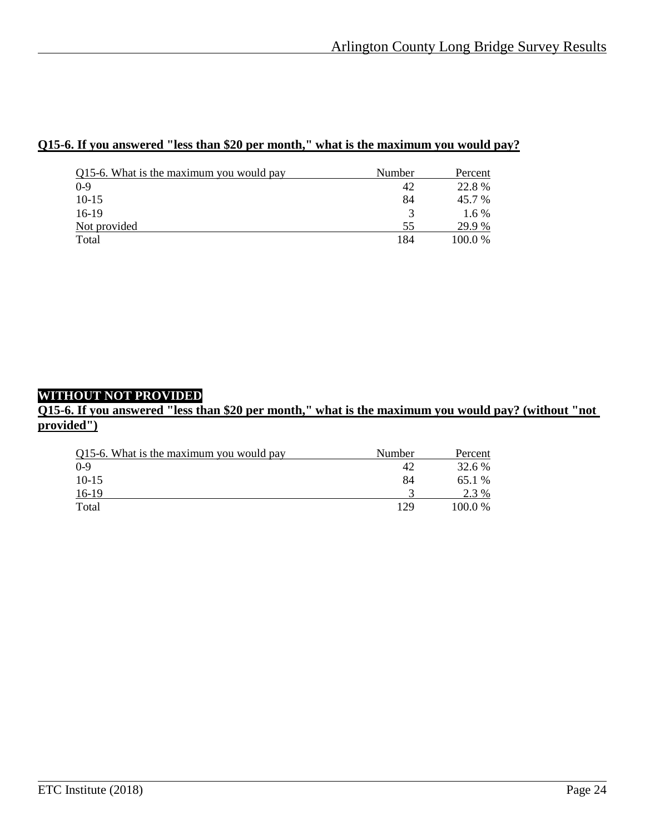### **Q15-6. If you answered "less than \$20 per month," what is the maximum you would pay?**

| Q15-6. What is the maximum you would pay | Number | Percent |
|------------------------------------------|--------|---------|
| $0-9$                                    | 42     | 22.8%   |
| $10-15$                                  | 84     | 45.7 %  |
| $16-19$                                  | 3      | $1.6\%$ |
| Not provided                             | 55     | 29.9 %  |
| Total                                    | 184    | 100.0 % |

#### **WITHOUT NOT PROVIDED**

**Q15-6. If you answered "less than \$20 per month," what is the maximum you would pay? (without "not provided")**

| Q15-6. What is the maximum you would pay | Number | Percent |
|------------------------------------------|--------|---------|
| $0 - 9$                                  | 42     | 32.6 %  |
| $10-15$                                  | 84     | 65.1 %  |
| $16-19$                                  |        | 2.3 %   |
| Total                                    | 129    | 100.0 % |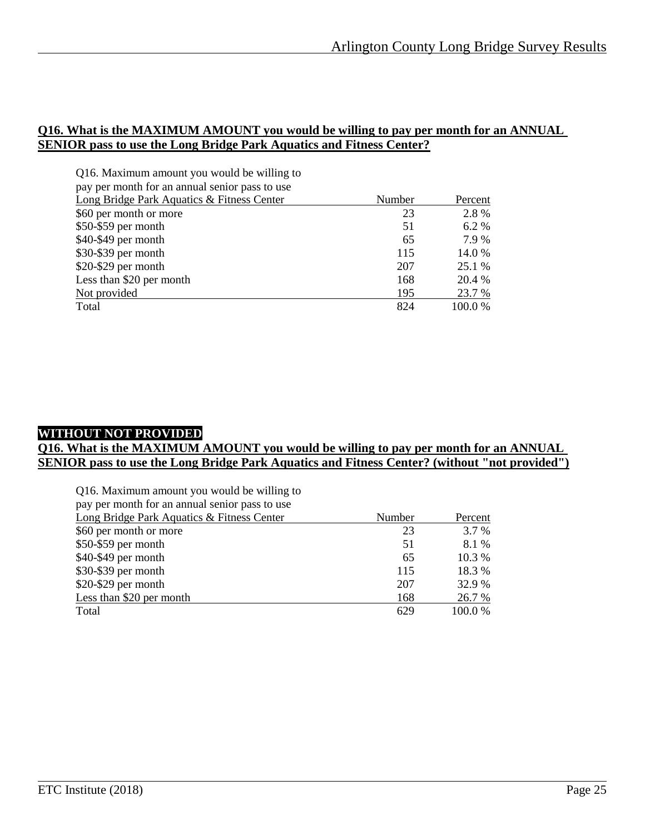#### **Q16. What is the MAXIMUM AMOUNT you would be willing to pay per month for an ANNUAL SENIOR pass to use the Long Bridge Park Aquatics and Fitness Center?**

| Q16. Maximum amount you would be willing to    |        |         |
|------------------------------------------------|--------|---------|
| pay per month for an annual senior pass to use |        |         |
| Long Bridge Park Aquatics & Fitness Center     | Number | Percent |
| \$60 per month or more                         | 23     | 2.8%    |
| $$50-$59$ per month                            | 51     | 6.2 %   |
| \$40-\$49 per month                            | 65     | 7.9%    |
| \$30-\$39 per month                            | 115    | 14.0 %  |
| $$20-\$29$ per month                           | 207    | 25.1 %  |
| Less than \$20 per month                       | 168    | 20.4 %  |
| Not provided                                   | 195    | 23.7 %  |
| Total                                          | 824    | 100.0 % |

#### **WITHOUT NOT PROVIDED**

#### **Q16. What is the MAXIMUM AMOUNT you would be willing to pay per month for an ANNUAL SENIOR pass to use the Long Bridge Park Aquatics and Fitness Center? (without "not provided")**

| Q16. Maximum amount you would be willing to<br>pay per month for an annual senior pass to use |        |          |
|-----------------------------------------------------------------------------------------------|--------|----------|
| Long Bridge Park Aquatics & Fitness Center                                                    | Number | Percent  |
| \$60 per month or more                                                                        | 23     | 3.7 %    |
| \$50-\$59 per month                                                                           | 51     | 8.1 %    |
| \$40-\$49 per month                                                                           | 65     | $10.3\%$ |
| \$30-\$39 per month                                                                           | 115    | 18.3 %   |
| \$20-\$29 per month                                                                           | 207    | 32.9 %   |
| Less than \$20 per month                                                                      | 168    | 26.7 %   |
| Total                                                                                         | 629    | 100.0%   |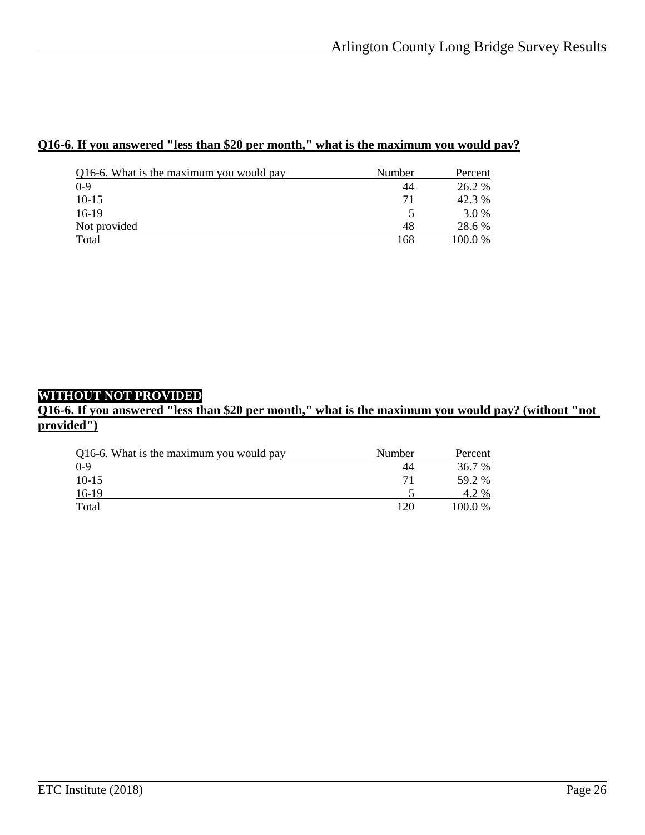## **Q16-6. If you answered "less than \$20 per month," what is the maximum you would pay?**

| Q16-6. What is the maximum you would pay | Number | Percent |
|------------------------------------------|--------|---------|
| $0-9$                                    | 44     | 26.2 %  |
| $10-15$                                  | 71     | 42.3 %  |
| $16-19$                                  |        | 3.0 %   |
| Not provided                             | 48     | 28.6 %  |
| Total                                    | 168    | 100.0 % |

#### **WITHOUT NOT PROVIDED**

**Q16-6. If you answered "less than \$20 per month," what is the maximum you would pay? (without "not provided")**

| Q16-6. What is the maximum you would pay | Number | Percent |
|------------------------------------------|--------|---------|
| $0-9$                                    | 44     | 36.7 %  |
| $10-15$                                  | 71     | 59.2 %  |
| $16-19$                                  |        | 4.2 %   |
| Total                                    | 120    | 100.0 % |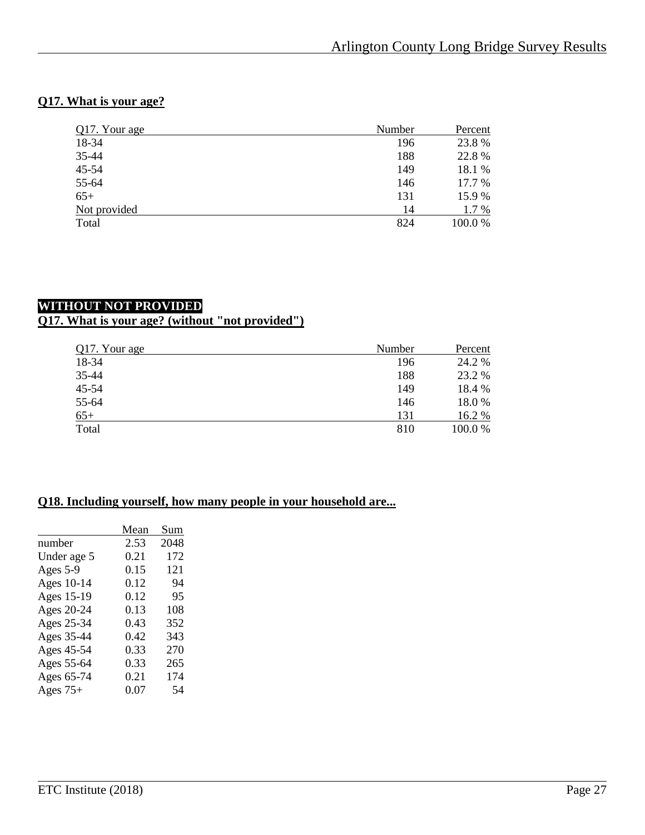## **Q17. What is your age?**

| Q17. Your age | Number | Percent |  |
|---------------|--------|---------|--|
| 18-34         | 196    | 23.8%   |  |
| 35-44         | 188    | 22.8%   |  |
| 45-54         | 149    | 18.1 %  |  |
| 55-64         | 146    | 17.7 %  |  |
| $65+$         | 131    | 15.9%   |  |
| Not provided  | 14     | 1.7 %   |  |
| Total         | 824    | 100.0 % |  |
|               |        |         |  |

## **WITHOUT NOT PROVIDED Q17. What is your age? (without "not provided")**

| Q17. Your age | Number | Percent |  |
|---------------|--------|---------|--|
| 18-34         | 196    | 24.2 %  |  |
| 35-44         | 188    | 23.2 %  |  |
| $45 - 54$     | 149    | 18.4 %  |  |
| 55-64         | 146    | 18.0%   |  |
| $65+$         | 131    | 16.2 %  |  |
| Total         | 810    | 100.0%  |  |

## **Q18. Including yourself, how many people in your household are...**

|             | Mean | Sum  |
|-------------|------|------|
| number      | 2.53 | 2048 |
| Under age 5 | 0.21 | 172  |
| Ages 5-9    | 0.15 | 121  |
| Ages 10-14  | 0.12 | 94   |
| Ages 15-19  | 0.12 | 95   |
| Ages 20-24  | 0.13 | 108  |
| Ages 25-34  | 0.43 | 352  |
| Ages 35-44  | 0.42 | 343  |
| Ages 45-54  | 0.33 | 270  |
| Ages 55-64  | 0.33 | 265  |
| Ages 65-74  | 0.21 | 174  |
| Ages $75+$  | 0.07 | 54   |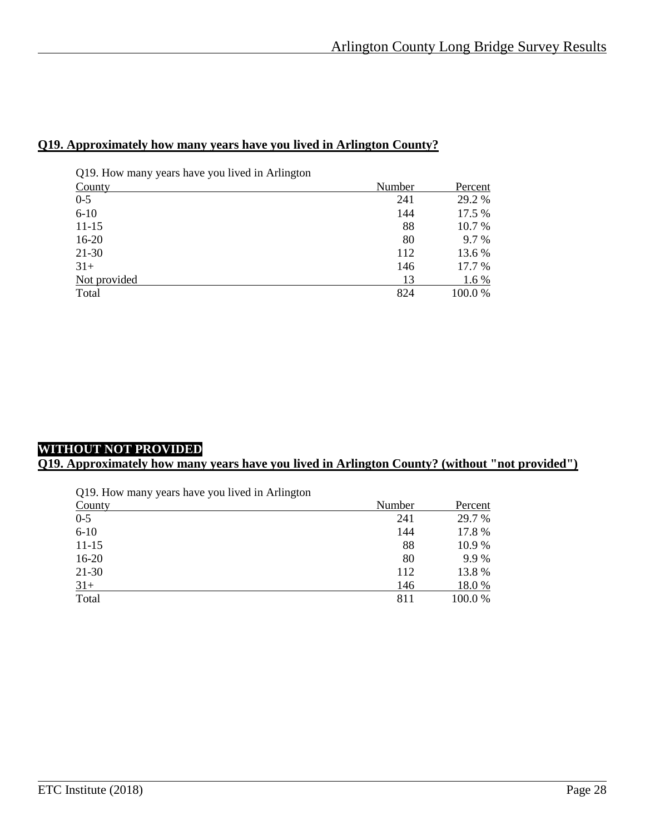#### **Q19. Approximately how many years have you lived in Arlington County?**

| Q19. How many years have you lived in Arlington |        |         |
|-------------------------------------------------|--------|---------|
| County                                          | Number | Percent |
| $0 - 5$                                         | 241    | 29.2 %  |
| $6 - 10$                                        | 144    | 17.5 %  |
| $11 - 15$                                       | 88     | 10.7 %  |
| $16-20$                                         | 80     | 9.7 %   |
| $21-30$                                         | 112    | 13.6 %  |
| $31+$                                           | 146    | 17.7 %  |
| Not provided                                    | 13     | $1.6\%$ |
| Total                                           | 824    | 100.0%  |

## **WITHOUT NOT PROVIDED**

## **Q19. Approximately how many years have you lived in Arlington County? (without "not provided")**

| Q19. How many years have you lived in Arlington |  |  |
|-------------------------------------------------|--|--|
|                                                 |  |  |

| County    | Number | Percent |
|-----------|--------|---------|
| $0-5$     | 241    | 29.7 %  |
| $6-10$    | 144    | 17.8 %  |
| $11 - 15$ | 88     | 10.9%   |
| $16-20$   | 80     | 9.9%    |
| $21 - 30$ | 112    | 13.8 %  |
| $31+$     | 146    | 18.0%   |
| Total     | 811    | 100.0 % |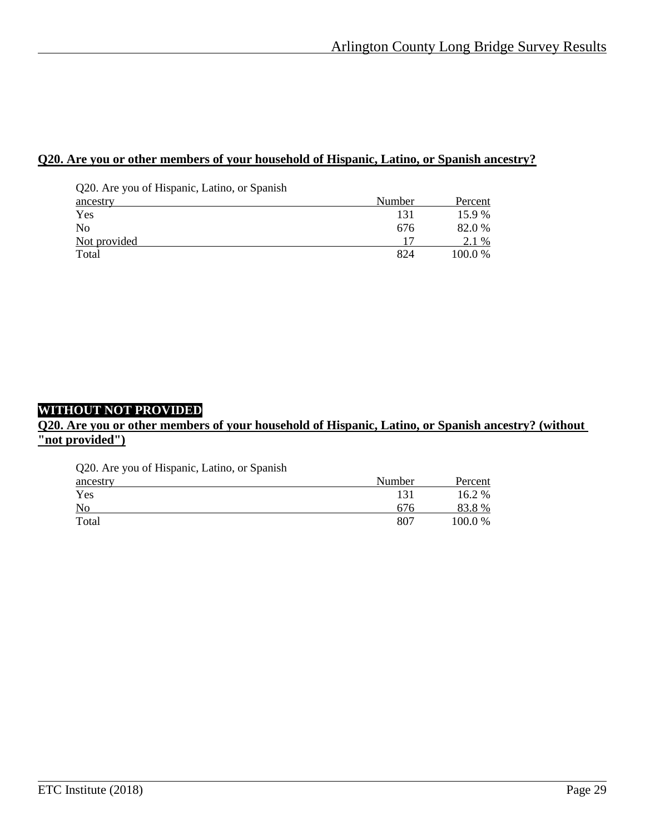#### **Q20. Are you or other members of your household of Hispanic, Latino, or Spanish ancestry?**

| Q20. Are you of Hispanic, Latino, or Spanish |        |         |
|----------------------------------------------|--------|---------|
| ancestry                                     | Number | Percent |
| Yes                                          | 131    | 15.9 %  |
| N <sub>0</sub>                               | 676    | 82.0 %  |
| Not provided                                 |        | 2.1 %   |
| Total                                        | 824    | 100.0 % |

#### **WITHOUT NOT PROVIDED**

#### **Q20. Are you or other members of your household of Hispanic, Latino, or Spanish ancestry? (without "not provided")**

Q20. Are you of Hispanic, Latino, or Spanish

| ancestry | Number | Percent |
|----------|--------|---------|
| Yes      | 131    | 16.2 %  |
| No       | 676    | 83.8%   |
| Total    | 807    | 100.0 % |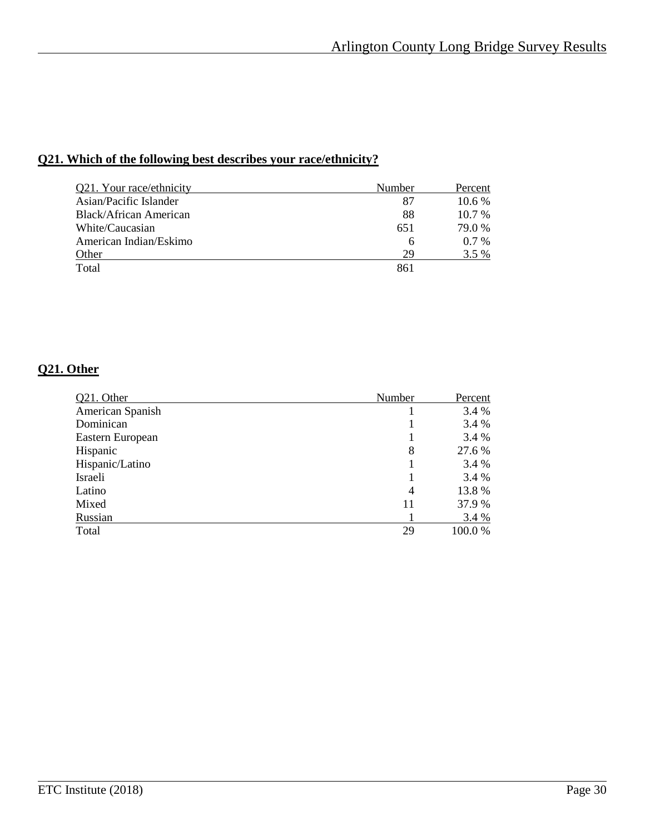## **Q21. Which of the following best describes your race/ethnicity?**

| Q21. Your race/ethnicity | Number | Percent  |
|--------------------------|--------|----------|
| Asian/Pacific Islander   | 87     | 10.6 %   |
| Black/African American   | 88     | $10.7\%$ |
| White/Caucasian          | 651    | 79.0 %   |
| American Indian/Eskimo   | 6      | $0.7\%$  |
| Other                    | 29     | 3.5 %    |
| Total                    | 861    |          |
|                          |        |          |

## **Q21. Other**

| Q21. Other       | Number | Percent |
|------------------|--------|---------|
| American Spanish |        | 3.4 %   |
| Dominican        |        | 3.4 %   |
| Eastern European |        | 3.4 %   |
| Hispanic         | 8      | 27.6 %  |
| Hispanic/Latino  |        | 3.4 %   |
| Israeli          |        | 3.4 %   |
| Latino           | 4      | 13.8 %  |
| Mixed            | 11     | 37.9 %  |
| Russian          |        | 3.4 %   |
| Total            | 29     | 100.0%  |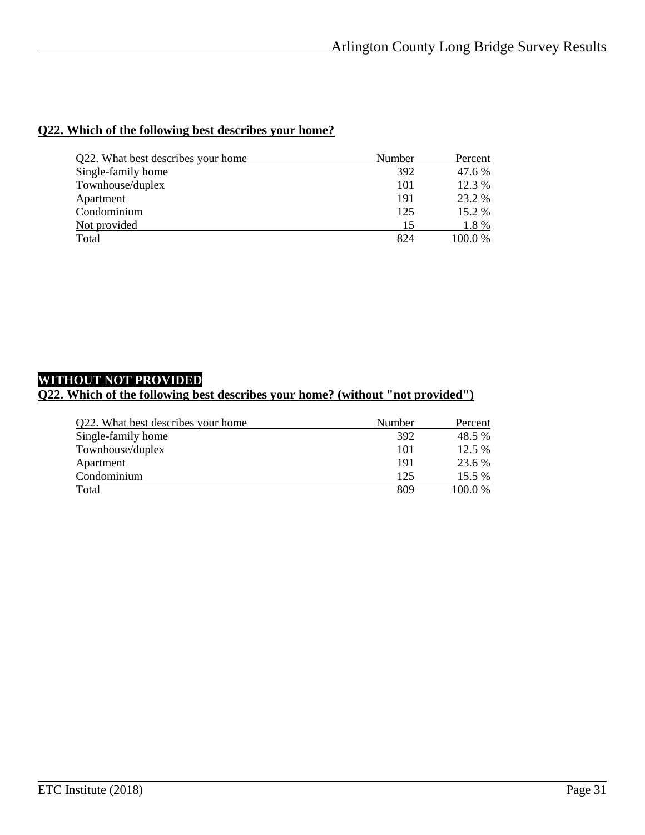## **Q22. Which of the following best describes your home?**

| Q22. What best describes your home | Number | Percent |
|------------------------------------|--------|---------|
| Single-family home                 | 392    | 47.6 %  |
| Townhouse/duplex                   | 101    | 12.3 %  |
| Apartment                          | 191    | 23.2 %  |
| Condominium                        | 125    | 15.2 %  |
| Not provided                       | 15     | 1.8 %   |
| Total                              | 824    | 100.0 % |

## **WITHOUT NOT PROVIDED**

## **Q22. Which of the following best describes your home? (without "not provided")**

| Q22. What best describes your home | Number | Percent |
|------------------------------------|--------|---------|
| Single-family home                 | 392    | 48.5 %  |
| Townhouse/duplex                   | 101    | 12.5 %  |
| Apartment                          | 191    | 23.6 %  |
| Condominium                        | 125    | 15.5 %  |
| Total                              | 809    | 100.0 % |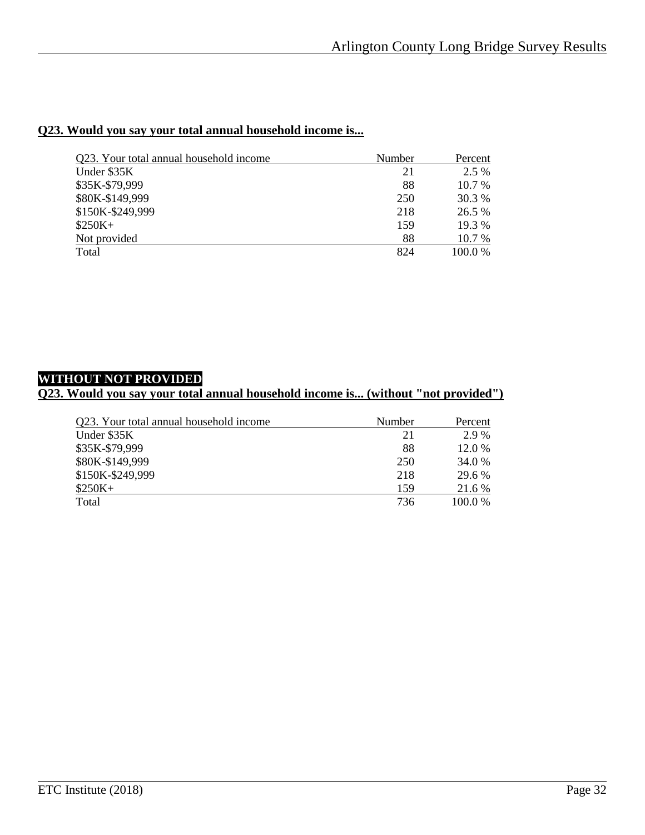## **Q23. Would you say your total annual household income is...**

| Q23. Your total annual household income | Number | Percent  |
|-----------------------------------------|--------|----------|
| Under \$35K                             | 21     | 2.5 %    |
| \$35K-\$79,999                          | 88     | $10.7\%$ |
| \$80K-\$149,999                         | 250    | 30.3 %   |
| \$150K-\$249,999                        | 218    | 26.5 %   |
| $$250K+$                                | 159    | 19.3 %   |
| Not provided                            | 88     | 10.7 %   |
| Total                                   | 824    | 100.0%   |

## **WITHOUT NOT PROVIDED**

#### **Q23. Would you say your total annual household income is... (without "not provided")**

| Q23. Your total annual household income | Number | Percent |
|-----------------------------------------|--------|---------|
| Under \$35K                             | 21     | 2.9 %   |
| \$35K-\$79,999                          | 88     | 12.0 %  |
| \$80K-\$149,999                         | 250    | 34.0 %  |
| \$150K-\$249,999                        | 218    | 29.6 %  |
| $$250K+$                                | 159    | 21.6 %  |
| Total                                   | 736    | 100.0 % |